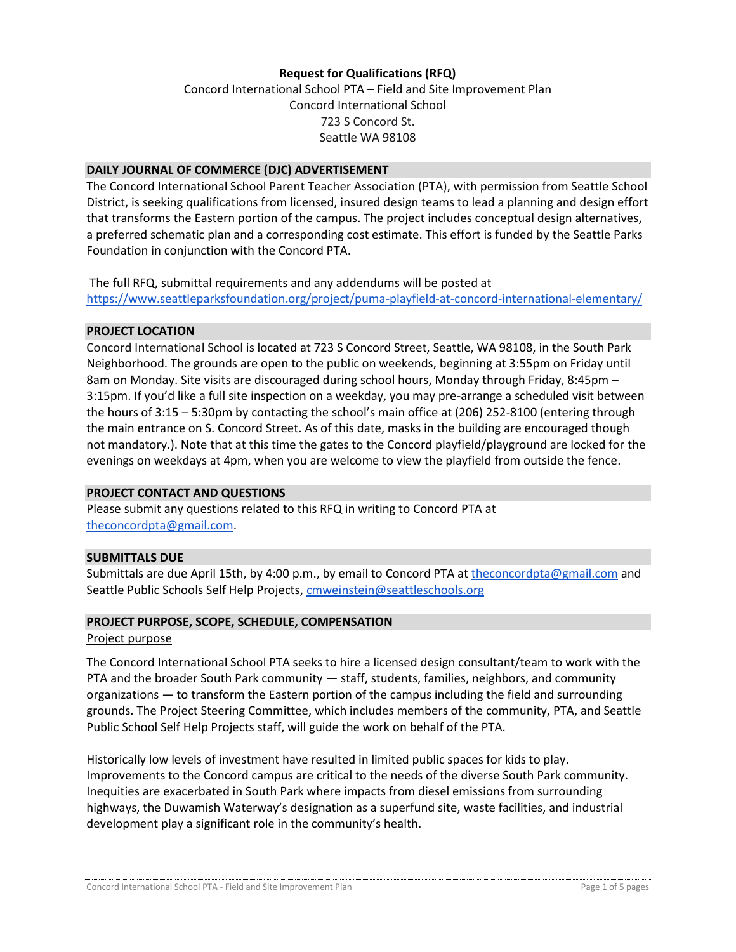## **Request for Qualifications (RFQ)**

Concord International School PTA – Field and Site Improvement Plan Concord International School 723 S Concord St. Seattle WA 98108

#### **DAILY JOURNAL OF COMMERCE (DJC) ADVERTISEMENT**

The Concord International School Parent Teacher Association (PTA), with permission from Seattle School District, is seeking qualifications from licensed, insured design teams to lead a planning and design effort that transforms the Eastern portion of the campus. The project includes conceptual design alternatives, a preferred schematic plan and a corresponding cost estimate. This effort is funded by the Seattle Parks Foundation in conjunction with the Concord PTA.

The full RFQ, submittal requirements and any addendums will be posted at <https://www.seattleparksfoundation.org/project/puma-playfield-at-concord-international-elementary/>

#### **PROJECT LOCATION**

Concord International School is located at 723 S Concord Street, Seattle, WA 98108, in the South Park Neighborhood. The grounds are open to the public on weekends, beginning at 3:55pm on Friday until 8am on Monday. Site visits are discouraged during school hours, Monday through Friday, 8:45pm – 3:15pm. If you'd like a full site inspection on a weekday, you may pre-arrange a scheduled visit between the hours of 3:15 – 5:30pm by contacting the school's main office at (206) 252-8100 (entering through the main entrance on S. Concord Street. As of this date, masks in the building are encouraged though not mandatory.). Note that at this time the gates to the Concord playfield/playground are locked for the evenings on weekdays at 4pm, when you are welcome to view the playfield from outside the fence.

## **PROJECT CONTACT AND QUESTIONS**

Please submit any questions related to this RFQ in writing to Concord PTA at [theconcordpta@gmail.com.](mailto:theconcordpta@gmail.com)

## **SUBMITTALS DUE**

Submittals are due April 15th, by 4:00 p.m., by email to Concord PTA at [theconcordpta@gmail.com](mailto:theconcordpta@gmail.com) and Seattle Public Schools Self Help Projects, [cmweinstein@seattleschools.org](mailto:cmweinstein@seattleschools.org)

#### **PROJECT PURPOSE, SCOPE, SCHEDULE, COMPENSATION**

#### Project purpose

The Concord International School PTA seeks to hire a licensed design consultant/team to work with the PTA and the broader South Park community — staff, students, families, neighbors, and community organizations — to transform the Eastern portion of the campus including the field and surrounding grounds. The Project Steering Committee, which includes members of the community, PTA, and Seattle Public School Self Help Projects staff, will guide the work on behalf of the PTA.

Historically low levels of investment have resulted in limited public spaces for kids to play. Improvements to the Concord campus are critical to the needs of the diverse South Park community. Inequities are exacerbated in South Park where impacts from diesel emissions from surrounding highways, the Duwamish Waterway's designation as a superfund site, waste facilities, and industrial development play a significant role in the community's health.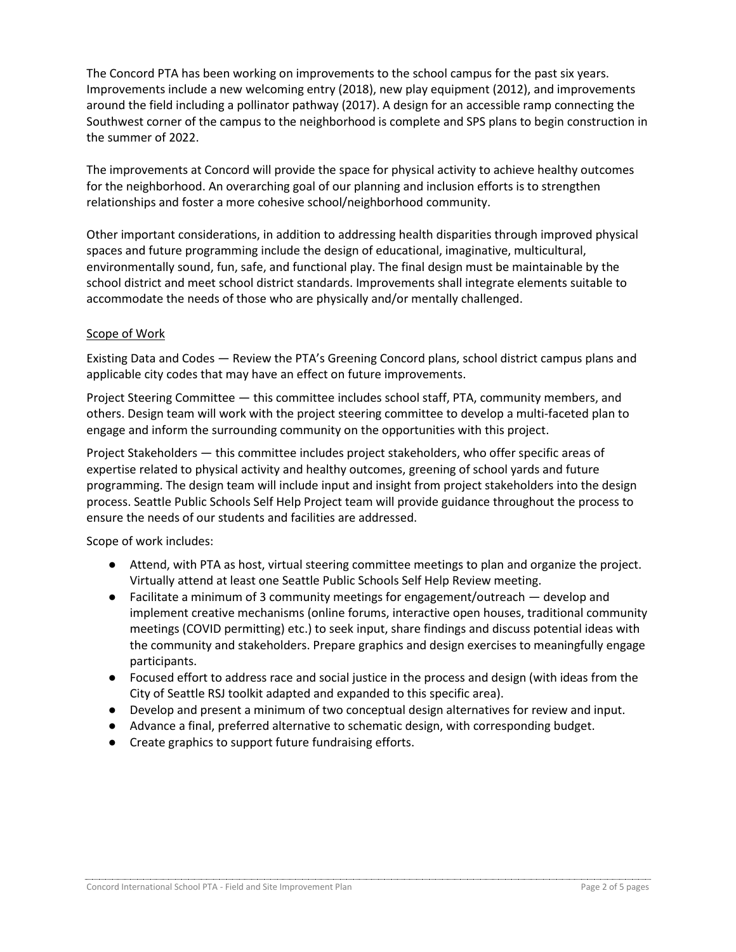The Concord PTA has been working on improvements to the school campus for the past six years. Improvements include a new welcoming entry (2018), new play equipment (2012), and improvements around the field including a pollinator pathway (2017). A design for an accessible ramp connecting the Southwest corner of the campus to the neighborhood is complete and SPS plans to begin construction in the summer of 2022.

The improvements at Concord will provide the space for physical activity to achieve healthy outcomes for the neighborhood. An overarching goal of our planning and inclusion efforts is to strengthen relationships and foster a more cohesive school/neighborhood community.

Other important considerations, in addition to addressing health disparities through improved physical spaces and future programming include the design of educational, imaginative, multicultural, environmentally sound, fun, safe, and functional play. The final design must be maintainable by the school district and meet school district standards. Improvements shall integrate elements suitable to accommodate the needs of those who are physically and/or mentally challenged.

## Scope of Work

Existing Data and Codes — Review the PTA's Greening Concord plans, school district campus plans and applicable city codes that may have an effect on future improvements.

Project Steering Committee — this committee includes school staff, PTA, community members, and others. Design team will work with the project steering committee to develop a multi-faceted plan to engage and inform the surrounding community on the opportunities with this project.

Project Stakeholders — this committee includes project stakeholders, who offer specific areas of expertise related to physical activity and healthy outcomes, greening of school yards and future programming. The design team will include input and insight from project stakeholders into the design process. Seattle Public Schools Self Help Project team will provide guidance throughout the process to ensure the needs of our students and facilities are addressed.

Scope of work includes:

- Attend, with PTA as host, virtual steering committee meetings to plan and organize the project. Virtually attend at least one Seattle Public Schools Self Help Review meeting.
- Facilitate a minimum of 3 community meetings for engagement/outreach develop and implement creative mechanisms (online forums, interactive open houses, traditional community meetings (COVID permitting) etc.) to seek input, share findings and discuss potential ideas with the community and stakeholders. Prepare graphics and design exercises to meaningfully engage participants.
- Focused effort to address race and social justice in the process and design (with ideas from the City of Seattle RSJ toolkit adapted and expanded to this specific area).
- Develop and present a minimum of two conceptual design alternatives for review and input.
- Advance a final, preferred alternative to schematic design, with corresponding budget.
- Create graphics to support future fundraising efforts.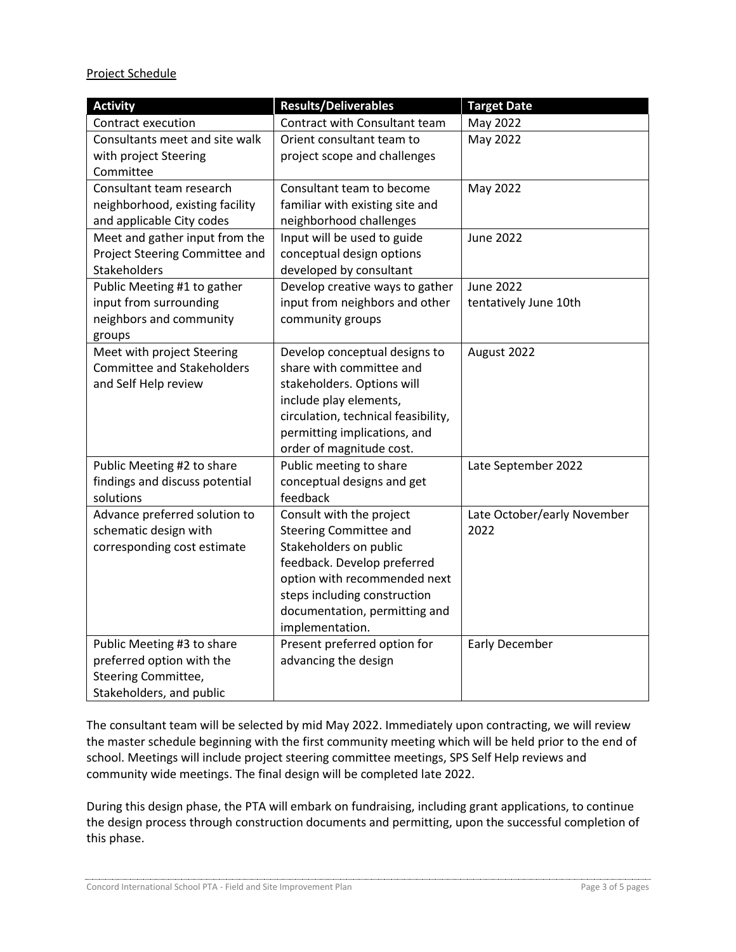Project Schedule

| <b>Activity</b>                   | <b>Results/Deliverables</b>         | <b>Target Date</b>          |
|-----------------------------------|-------------------------------------|-----------------------------|
| Contract execution                | Contract with Consultant team       | May 2022                    |
| Consultants meet and site walk    | Orient consultant team to           | May 2022                    |
| with project Steering             | project scope and challenges        |                             |
| Committee                         |                                     |                             |
| Consultant team research          | Consultant team to become           | May 2022                    |
| neighborhood, existing facility   | familiar with existing site and     |                             |
| and applicable City codes         | neighborhood challenges             |                             |
| Meet and gather input from the    | Input will be used to guide         | <b>June 2022</b>            |
| Project Steering Committee and    | conceptual design options           |                             |
| Stakeholders                      | developed by consultant             |                             |
| Public Meeting #1 to gather       | Develop creative ways to gather     | <b>June 2022</b>            |
| input from surrounding            | input from neighbors and other      | tentatively June 10th       |
| neighbors and community           | community groups                    |                             |
| groups                            |                                     |                             |
| Meet with project Steering        | Develop conceptual designs to       | August 2022                 |
| <b>Committee and Stakeholders</b> | share with committee and            |                             |
| and Self Help review              | stakeholders. Options will          |                             |
|                                   | include play elements,              |                             |
|                                   | circulation, technical feasibility, |                             |
|                                   | permitting implications, and        |                             |
|                                   | order of magnitude cost.            |                             |
| Public Meeting #2 to share        | Public meeting to share             | Late September 2022         |
| findings and discuss potential    | conceptual designs and get          |                             |
| solutions                         | feedback                            |                             |
| Advance preferred solution to     | Consult with the project            | Late October/early November |
| schematic design with             | <b>Steering Committee and</b>       | 2022                        |
| corresponding cost estimate       | Stakeholders on public              |                             |
|                                   | feedback. Develop preferred         |                             |
|                                   | option with recommended next        |                             |
|                                   | steps including construction        |                             |
|                                   | documentation, permitting and       |                             |
|                                   | implementation.                     |                             |
| Public Meeting #3 to share        | Present preferred option for        | <b>Early December</b>       |
| preferred option with the         | advancing the design                |                             |
| Steering Committee,               |                                     |                             |
| Stakeholders, and public          |                                     |                             |

The consultant team will be selected by mid May 2022. Immediately upon contracting, we will review the master schedule beginning with the first community meeting which will be held prior to the end of school. Meetings will include project steering committee meetings, SPS Self Help reviews and community wide meetings. The final design will be completed late 2022.

During this design phase, the PTA will embark on fundraising, including grant applications, to continue the design process through construction documents and permitting, upon the successful completion of this phase.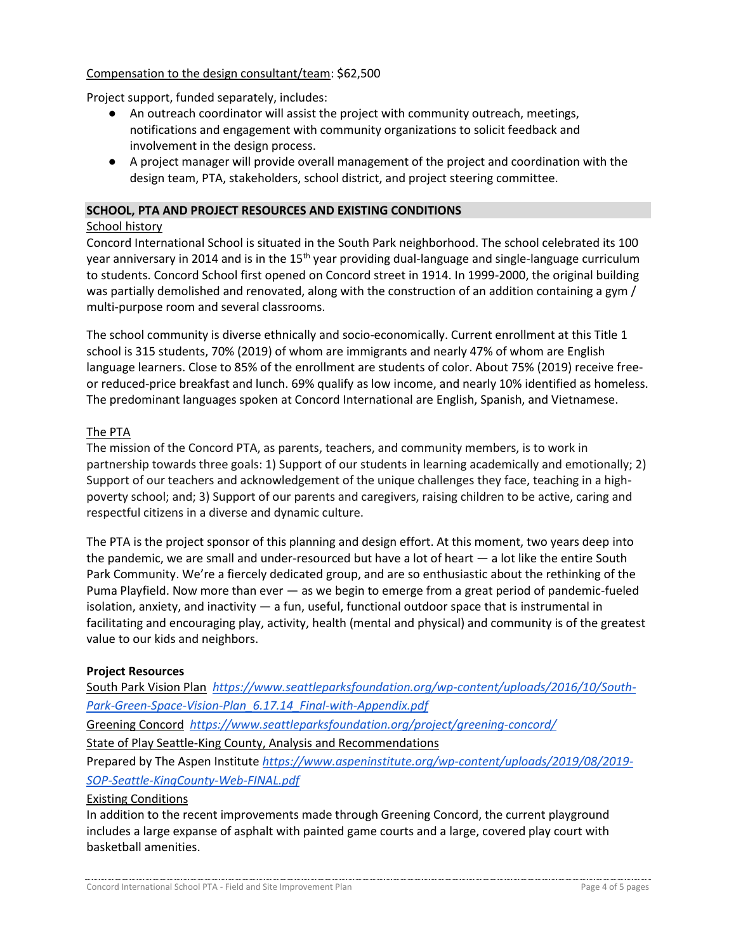# Compensation to the design consultant/team: \$62,500

Project support, funded separately, includes:

- An outreach coordinator will assist the project with community outreach, meetings, notifications and engagement with community organizations to solicit feedback and involvement in the design process.
- A project manager will provide overall management of the project and coordination with the design team, PTA, stakeholders, school district, and project steering committee.

## **SCHOOL, PTA AND PROJECT RESOURCES AND EXISTING CONDITIONS**

#### School history

Concord International School is situated in the South Park neighborhood. The school celebrated its 100 year anniversary in 2014 and is in the  $15<sup>th</sup>$  year providing dual-language and single-language curriculum to students. Concord School first opened on Concord street in 1914. In 1999-2000, the original building was partially demolished and renovated, along with the construction of an addition containing a gym / multi-purpose room and several classrooms.

The school community is diverse ethnically and socio-economically. Current enrollment at this Title 1 school is 315 students, 70% (2019) of whom are immigrants and nearly 47% of whom are English language learners. Close to 85% of the enrollment are students of color. About 75% (2019) receive freeor reduced-price breakfast and lunch. 69% qualify as low income, and nearly 10% identified as homeless. The predominant languages spoken at Concord International are English, Spanish, and Vietnamese.

## The PTA

The mission of the Concord PTA, as parents, teachers, and community members, is to work in partnership towards three goals: 1) Support of our students in learning academically and emotionally; 2) Support of our teachers and acknowledgement of the unique challenges they face, teaching in a highpoverty school; and; 3) Support of our parents and caregivers, raising children to be active, caring and respectful citizens in a diverse and dynamic culture.

The PTA is the project sponsor of this planning and design effort. At this moment, two years deep into the pandemic, we are small and under-resourced but have a lot of heart — a lot like the entire South Park Community. We're a fiercely dedicated group, and are so enthusiastic about the rethinking of the Puma Playfield. Now more than ever — as we begin to emerge from a great period of pandemic-fueled isolation, anxiety, and inactivity — a fun, useful, functional outdoor space that is instrumental in facilitating and encouraging play, activity, health (mental and physical) and community is of the greatest value to our kids and neighbors.

## **Project Resources**

South Park Vision Plan *[https://www.seattleparksfoundation.org/wp-content/uploads/2016/10/South-](https://www.seattleparksfoundation.org/wp-content/uploads/2016/10/South-Park-Green-Space-Vision-Plan_6.17.14_Final-with-Appendix.pdf)[Park-Green-Space-Vision-Plan\\_6.17.14\\_Final-with-Appendix.pdf](https://www.seattleparksfoundation.org/wp-content/uploads/2016/10/South-Park-Green-Space-Vision-Plan_6.17.14_Final-with-Appendix.pdf)*

Greening Concord *<https://www.seattleparksfoundation.org/project/greening-concord/>*

State of Play Seattle-King County, Analysis and Recommendations

Prepared by The Aspen Institute *[https://www.aspeninstitute.org/wp-content/uploads/2019/08/2019-](https://www.aspeninstitute.org/wp-content/uploads/2019/08/2019-SOP-Seattle-KingCounty-Web-FINAL.pdf) [SOP-Seattle-KingCounty-Web-FINAL.pdf](https://www.aspeninstitute.org/wp-content/uploads/2019/08/2019-SOP-Seattle-KingCounty-Web-FINAL.pdf)* 

## Existing Conditions

In addition to the recent improvements made through Greening Concord, the current playground includes a large expanse of asphalt with painted game courts and a large, covered play court with basketball amenities.